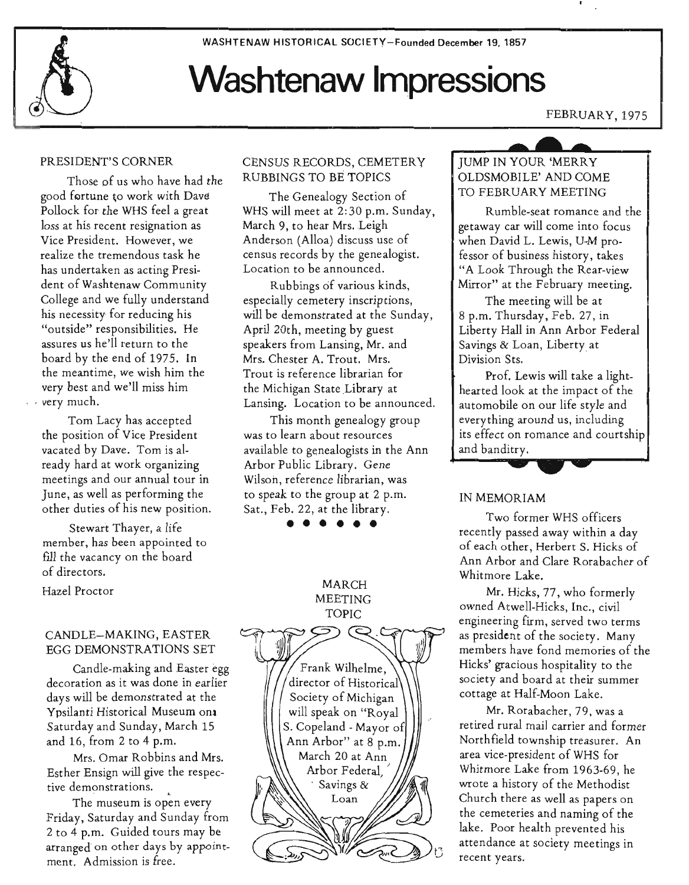WASHTENAW HISTORICAL SOCIETY-Founded December 19.1857

# **Washtenaw Impressions**

## FEBRUARY, 1975

### PRESIDENT'S CORNER

Those of us who have had the good fortune to work with Dave Pollock for the WHS feel a great loss at his recent resignation as Vice President. However, we realize the tremendous task he has undertaken as acting President of Washtenaw Community College and we fully understand his necessity for reducing his . "outside" responsibilities. He assures us he'll return to the board by the end of 1975. In the meantime, we wish him the very best and we'll miss him *. very* much.

Tom Lacy has accepted the position of Vice President vacated by Dave. Tom is already hard at work organizing meetings and our annual tour in June, as well as performing the other duties of his new position.

Stewart Thayer, a life member, has been appointed to fill the vacancy on the board of directors.

Hazel Proctor

### CANDLE-MAKING, EASTER EGG DEMONSTRATIONS SET

Candle-making and Easter egg decoration as it was done in earlier days will be demonstrated at the Ypsilanti Historical Museum ona Saturday and Sunday, March 15 and 16, from 2 to 4 p.m.

Mrs. Omar Robbins and Mrs. Esther Ensign will give the respective demonstrations.

The museum is open every Friday, Saturday and Sunday from 2 to 4 p.m. Guided tours may be arranged on other days by appointment. Admission is free.

# CENSUS RECORDS, CEMETERY RUBBINGS TO BE TOPICS

The Genealogy Section of WHS will meet at 2:30 p.m. Sunday, March 9, to hear Mrs. Leigh Anderson (Alloa) discuss use of census records by the genealogist. Location to be announced.

Rubbings of various kinds, especially cemetery inscriptions, will be demonstrated at the Sunday, April 20th, meeting by guest speakers from Lansing, Mr. and Mrs. Chester A. Trout. Mrs. Trout is reference librarian for the Michigan State Library at Lansing. Location to be announced.

This month genealogy group was to learn about resources available to genealogists in the Ann . Arbor Public Library. Gene Wilson, reference librarian, was to speak to the group at 2 p.m. Sat., Feb. 22, at the library.<br>  $\bullet \bullet \bullet \bullet \bullet \bullet$ 



# JUMP IN YOUR 'MERRY OLDSMOBILE' AND COME TO FEBRUARY MEETING

Rumble-seat romance and the getaway car will corne into focus when David L. Lewis, U-M professor of business history, takes "A Look Through the Rear-view Mirror" at the February meeting.

The meeting will be at 8 p.m. Thursday, Feb. 27, in Liberty Hall in Ann Arbor Federal Savings & Loan, Liberty at Division Sts.

Prof. Lewis will take a lighthearted look at the impact of the automobile on our life style and everything around us, including its effect on romance and courtship and banditry.

# IN MEMORIAM

Two former WHS officers recently passed away within a day of each other, Herbert S. Hicks of Ann Arbor and Clare Rorabacher of Whitmore Lake.

Mr. Hicks, 77, who formerly owned Atwell-Hicks, Inc., civil engineering firm, served two terms as president of the society. Many members have fond memories of the Hicks' gracious hospitality to the . society and board at their summer cottage at Half-Moon Lake.

Mr. Rorabacher, 79. was a retired rural mail carrier and former Northfield township treasurer. An area vice-president of WHS for Whitmore Lake from 1963-69, he wrote a history of the Methodist Church there as well as papers on the cemeteries and naming of the lake. Poor health prevented his attendance at society meetings in recent years.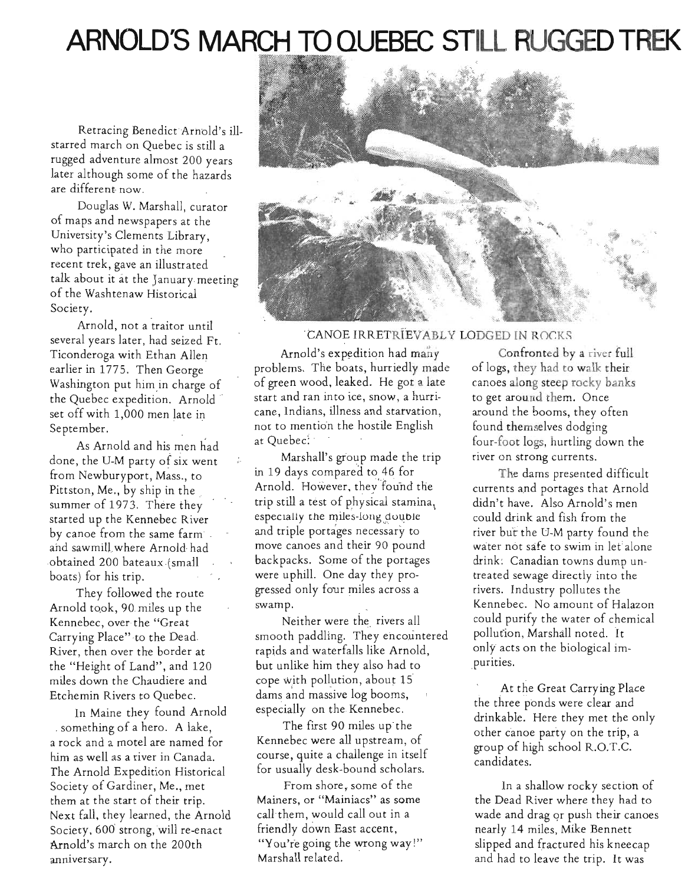# **ARNOLD'S MARCH TO** QUEBEC STILL **RUGGED TREK**

Retracing Benedict Arnold's illstarred march on Quebec is still a rugged adventure almost 200 years later although some of the hazards are different now.

Douglas W. Marshall, curator of maps and newspapers at the University's Clements Library, who participated in the more recent trek, gave an illustrated talk about it at the January. meeting of the Washtenaw Historical Society.

Arnold, not a traitor until several years later, had seized Ft. Ticonderoga with Ethan Allen earlier in 1775. Then George Washington put him in charge of the Quebec expedition. Arnold set off with 1,000 men late in Washington put him in charge of<br>the Quebec expedition. Arnold<br>set off with 1,000 men late in<br>September.

As Arnold and his men. had " done, the U-M party of six went from Newburyport, Mass., to Pittston, Me., by ship in the summer of 1973. There they started up the Kennebec River by canoe from the same farm . and sawmill where Arnold had obtained 200 bateaux (small boats) for his trip.

They followed the route Arnold took, 90 miles up the Kennebec, over the "Great Carrying Place" to the Dead. River, then over the border at the "Height of Land", and 120 miles down the Chaudiere and Etchemin Rivers to Quebec.

In Maine they found Arnold . something of a hero. A lake, a rock and a motel are named for him as well as a river in Canada. The Arnold Expedition Historical Society of Gardiner, Me., met them at the start of their trip. Next fall, they learned, the Arnold Society, 600 strong, will re-enact Arnold's march on the 200th anniversary.



### CANOE IRRETRIEVABLY LODGED IN ROCKS

Arnold's expedition had many problems. The boats, hurriedly made of green wood, leaked. He got a late start and ran into ice, snow, a hurricane, Indians, illness and starvation, not to mention the hostile English at Quebec:

Marshall's group made the trip in 19 days compared to 46 for Arnold. However, they found the trip still a test of physical stamina, especially the miles-long double and triple portages necessary to move canoes and their 90 pound backpacks. Some of the portages were uphill. One day they progressed only fouf miles across a swamp.

Neither were the rivers all smooth paddling. They encountered rapids and' waterfalls like Arnold, . but unlike him they also had to . cope with pollution, about 15 dams and massive log booms, especially on the Kennebec.

The first 90 miles up the Kennebec were all upstream, of course, quite a challenge in itself for usually desk-bound scholars.

From shore, some of the Mainers, or "Mainiacs" as some call them, would call out in a friendly down East accent, "You're going the wrong way!" Marshall related.

Confronted by a river full of logs, they had to walk their canoes along steep rocky banks to get around them. Once around the booms, they often found themselves dodging four-foot logs, hurtling down the river on strong currents.

The dams presented difficult currents and portages that Arnold didn't have. Also Arnold's men could drink and fish from the river but the U-M party found the water not safe to swim in let alone drink: Canadian towns dump untreated sewage directly into the rivers. Industry pollutes the Kennebec. No amount of Halazon could purify the water of chemical pollufion, Marshall noted. It only acts on the biological impurities.

At the Great Carrying Place the three ponds were clear and drinkable. Here they met the only other canoe party on the trip, a group of high school R.O.T.C. candidates.

In a shallow rocky section of the Dead River where they had to wade and drag qr push their canoes nearly 14 miles, Mike Bennett slipped and fractured his kneecap and had to leave the trip. It was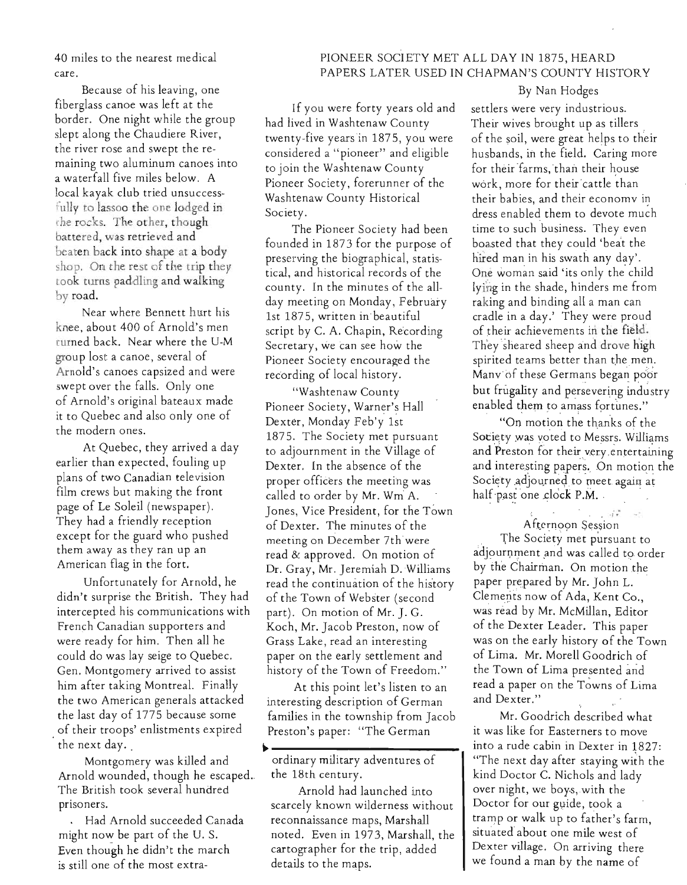40 miles to the nearest medical care.

Because of his leaving, one fiberglass canoe was left at the border. One night while the group slept along the Chaudiere River, the river rose and swept the remaining two aluminum canoes into a waterfall five miles below. A local kayak club tried unsuccessfully to lassoo the one lodged in rhe rocks. The other, though battered, was retrieved and beaten back into shape at a body shop. On the rest of the trip they look turns paddling and walking by road.

Near where Bennett hurt his knee, about 400 of Arnold's men rurned back. Near where the U-M group lost a canoe, several of Arnold's canoes capsized and were swept over the falls. Only one of Arnold's original bateaux made it to Quebec and also only one of the modern ones.

At Quebec, they arrived a day earlier than expected. fouling up plans of two Canadian television film crews but making the front page of Le Soleil (newspaper). They had a friendly reception except for the guard who pushed them away as they ran up an American flag in the fort.

Unfortunately for Arnold, he didn't surprise the British. They had intercepted his communications with French Canadian supporters and were ready for him. Then all he could do was lay seige to Quebec. Gen. Montgomery arrived to assist him after taking Montreal. Finally the two American generals attacked the last day of 1775 because some of their troops' enlistments expired , the next day. ,

Montgomery was killed and Arnold wounded, though he escaped. The British took several hundred prisoners.

. Had Arnold succeeded Canada might now be part of the U. S. Even though he didn't the march is still one of the most extra-

# PIONEER SOCIETY MET ALL DAY IN 1875, HEARD PAPERS LATER USED IN CHAPMAN'S COUNTY HISTORY

'If you were forty years old and had lived in Washtenaw County twenty-five years 'in 1875, you were considered a " pioneer" and eligible to join the Washtenaw County Pioneer Society, forerunner of the Washtenaw County Historical Society.

The Pioneer Society had been founded in 1873 for the purpose of preserving the biographical, statistical, and historical records of the county. In the minutes of the allday meeting on Monday, February 1st 1875, written in' beautiful script by C. A. Chapin, Recording Secretary, we can see how the Pioneer Society encouraged the recording of local history.

"Washtenaw County Pioneer Society, Warner's HaIl Dexter, Monday Feb'y 1st 1875. The Society met pursuant to adjournment in the Village of Dexter. In the absence of the proper officers the meeting was called to order by Mr. Wm A. Jones, Vice President, for the Town of Dexter. The minutes of the meeting on December 7th'were read & approved. On motion of Dr. Gray, Mr. Jeremiah D. Williams read the continuation of the history of the Town of Webster (second part). On motion of Mr. J.G. Koch, Mr. Jacob Preston, now of Grass Lake, read an interesting paper on the early settlement and history of the Town of Freedom."

At this point let's listen to an interesting description of German families in the township from Jacob Preston's paper: "The German

~ ,

Arnold had launched into scarcely known wilderness without reconnaissance maps, Marshall noted. Even in 1973, Marshall, the cartographer for the trip, added details to the maps.

### By Nan Hodges

settlers were very industrious. Their wives brought up as tillers of the soil, were great helps to their husbands, in the field. Caring more for their farms, than their house work, more for their cattle than their babies, and their economy in dress enabled them to devote much time to such business. They even boasted that they could 'beat the hired man in his swath any day'. One woman said 'its only the child lying in the shade, hinders me from raking and binding all a man can cradle in a day.' They were proud of their achievements in the field. They sheared sheep and drove high spirited teams better than the men. Many of these Germans began poor but frugality and persevering industry enabled them to amass fortunes."

"On motion the thanks of the Society was voted to Messrs. Williams and Preston for their very entertaining and interesting papers. On motion the Society adjourned to meet again at half past one clock P.M.

 $After no on Session$ 

The Society met pursuant to adjournment and was called to order by the Chairman. On motion the paper prepared by Mr. John L. . Clements now of Ada, Kent Co., was read by Mr. McMillan, Editor of the Dexter Leader. This paper was on the early history of the Town of Lima. Mr. Morell Goodrich of the Town of Lima presented and read a paper on the Towns of Lima and Dexter."

Mr. Goodrich described what it was like for Easterners to move into a rude cabin in Dexter in 1827: "The next day after staying with the kind Doctor C. Nichols and lady over night, we boy.s, with the Doctor for our guide, took a tramp or walk up to father's farm, situated about one mile west of Dexter village. On arriving there we found a man by the name of

ordinary military adventures. of the 18th century.